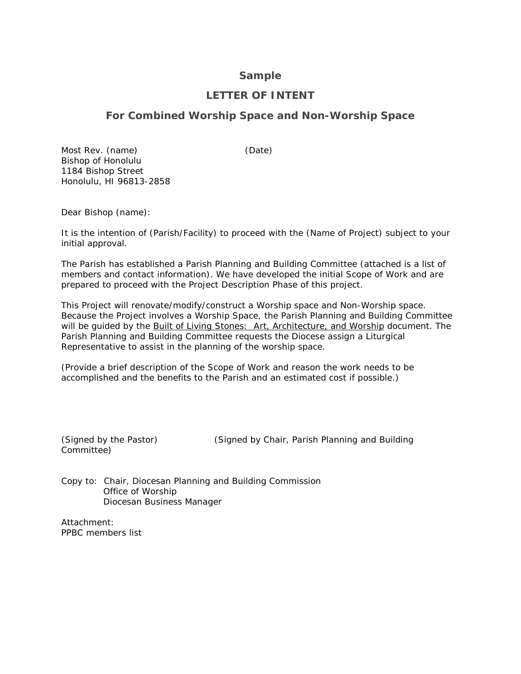### **Sample**

## **LETTER OF INTENT**

# **For Combined Worship Space and Non-Worship Space**

Most Rev. (name) (Date) Bishop of Honolulu 1184 Bishop Street Honolulu, HI 96813-2858

Dear Bishop (name):

It is the intention of (Parish/Facility) to proceed with the (Name of Project) subject to your initial approval.

The Parish has established a Parish Planning and Building Committee (attached is a list of members and contact information). We have developed the initial Scope of Work and are prepared to proceed with the Project Description Phase of this project.

This Project will renovate/modify/construct a Worship space and Non-Worship space. Because the Project involves a Worship Space, the Parish Planning and Building Committee will be guided by the Built of Living Stones: Art, Architecture, and Worship document. The Parish Planning and Building Committee requests the Diocese assign a Liturgical Representative to assist in the planning of the worship space.

(Provide a brief description of the Scope of Work and reason the work needs to be accomplished and the benefits to the Parish and an estimated cost if possible.)

Committee)

(Signed by the Pastor) (Signed by Chair, Parish Planning and Building

Copy to: Chair, Diocesan Planning and Building Commission Office of Worship Diocesan Business Manager

*Attachment:* PPBC members list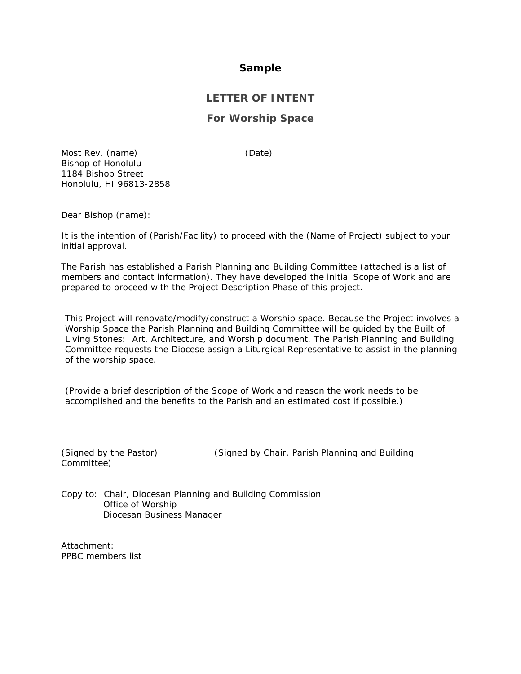### **Sample**

# **LETTER OF INTENT**

### **For Worship Space**

Most Rev. (name) (Date) Bishop of Honolulu 1184 Bishop Street Honolulu, HI 96813-2858

Dear Bishop (name):

It is the intention of (Parish/Facility) to proceed with the (Name of Project) subject to your initial approval.

The Parish has established a Parish Planning and Building Committee (attached is a list of members and contact information). They have developed the initial Scope of Work and are prepared to proceed with the Project Description Phase of this project.

This Project will renovate/modify/construct a Worship space. Because the Project involves a Worship Space the Parish Planning and Building Committee will be guided by the Built of Living Stones: Art, Architecture, and Worship document. The Parish Planning and Building Committee requests the Diocese assign a Liturgical Representative to assist in the planning of the worship space.

(Provide a brief description of the Scope of Work and reason the work needs to be accomplished and the benefits to the Parish and an estimated cost if possible.)

Committee)

(Signed by the Pastor) (Signed by Chair, Parish Planning and Building

Copy to: Chair, Diocesan Planning and Building Commission Office of Worship Diocesan Business Manager

*Attachment:* PPBC members list